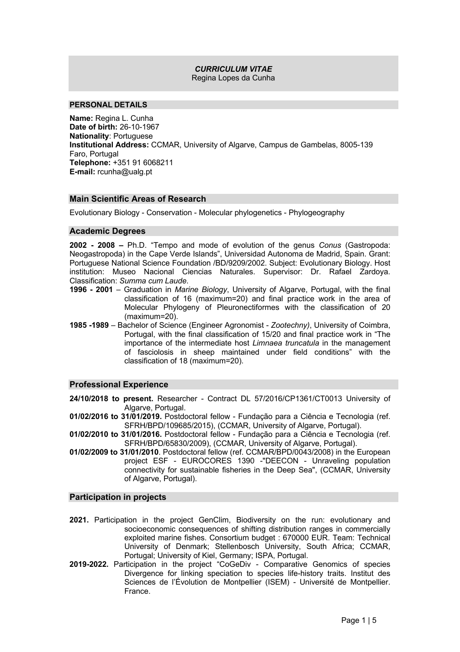#### *CURRICULUM VITAE* Regina Lopes da Cunha

#### **PERSONAL DETAILS**

**Name:** Regina L. Cunha **Date of birth:** 26-10-1967 **Nationality**: Portuguese **Institutional Address:** CCMAR, University of Algarve, Campus de Gambelas, 8005-139 Faro, Portugal **Telephone:** +351 91 6068211 **E-mail:** rcunha@ualg.pt

## **Main Scientific Areas of Research**

Evolutionary Biology - Conservation - Molecular phylogenetics - Phylogeography

#### **Academic Degrees**

**2002 - 2008 –** Ph.D. "Tempo and mode of evolution of the genus *Conus* (Gastropoda: Neogastropoda) in the Cape Verde Islands", Universidad Autonoma de Madrid, Spain. Grant: Portuguese National Science Foundation /BD/9209/2002. Subject: Evolutionary Biology. Host institution: Museo Nacional Ciencias Naturales. Supervisor: Dr. Rafael Zardoya. Classification: *Summa cum Laude*.

- **1996 - 2001** Graduation in *Marine Biology*, University of Algarve, Portugal, with the final classification of 16 (maximum=20) and final practice work in the area of Molecular Phylogeny of Pleuronectiformes with the classification of 20 (maximum=20).
- **1985 -1989** Bachelor of Science (Engineer Agronomist *Zootechny)*, University of Coimbra, Portugal, with the final classification of 15/20 and final practice work in "The importance of the intermediate host *Limnaea truncatula* in the management of fasciolosis in sheep maintained under field conditions" with the classification of 18 (maximum=20).

## **Professional Experience**

**24/10/2018 to present.** Researcher - Contract DL 57/2016/CP1361/CT0013 University of Algarve, Portugal.

- **01/02/2016 to 31/01/2019.** Postdoctoral fellow Fundação para a Ciência e Tecnologia (ref. SFRH/BPD/109685/2015), (CCMAR, University of Algarve, Portugal).
- **01/02/2010 to 31/01/2016.** Postdoctoral fellow Fundação para a Ciência e Tecnologia (ref. SFRH/BPD/65830/2009), (CCMAR, University of Algarve, Portugal).
- **01/02/2009 to 31/01/2010**. Postdoctoral fellow (ref. CCMAR/BPD/0043/2008) in the European project ESF - EUROCORES 1390 -"DEECON - Unraveling population connectivity for sustainable fisheries in the Deep Sea", (CCMAR, University of Algarve, Portugal).

#### **Participation in projects**

- **2021.** Participation in the project GenClim, Biodiversity on the run: evolutionary and socioeconomic consequences of shifting distribution ranges in commercially exploited marine fishes. Consortium budget : 670000 EUR. Team: Technical University of Denmark; Stellenbosch University, South Africa; CCMAR, Portugal; University of Kiel, Germany; ISPA, Portugal.
- **2019-2022.** Participation in the project "CoGeDiv Comparative Genomics of species Divergence for linking speciation to species life-history traits. Institut des Sciences de l'Évolution de Montpellier (ISEM) - Université de Montpellier. France.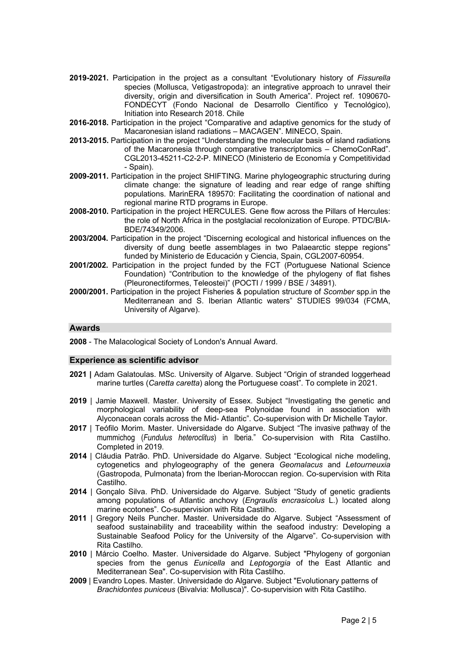- **2019-2021.** Participation in the project as a consultant "Evolutionary history of *Fissurella* species (Mollusca, Vetigastropoda): an integrative approach to unravel their diversity, origin and diversification in South America". Project ref. 1090670- FONDECYT (Fondo Nacional de Desarrollo Científico y Tecnológico), Initiation into Research 2018. Chile
- **2016-2018.** Participation in the project "Comparative and adaptive genomics for the study of Macaronesian island radiations – MACAGEN". MINECO, Spain.
- **2013-2015.** Participation in the project "Understanding the molecular basis of island radiations of the Macaronesia through comparative transcriptomics – ChemoConRad". CGL2013-45211-C2-2-P. MINECO (Ministerio de Economía y Competitividad - Spain).
- **2009-2011.** Participation in the project SHIFTING. Marine phylogeographic structuring during climate change: the signature of leading and rear edge of range shifting populations. MarinERA 189570: Facilitating the coordination of national and regional marine RTD programs in Europe.
- **2008-2010.** Participation in the project HERCULES. Gene flow across the Pillars of Hercules: the role of North Africa in the postglacial recolonization of Europe. PTDC/BIA-BDE/74349/2006.
- **2003/2004.** Participation in the project "Discerning ecological and historical influences on the diversity of dung beetle assemblages in two Palaearctic steppe regions" funded by Ministerio de Educación y Ciencia, Spain, CGL2007-60954.
- **2001/2002.** Participation in the project funded by the FCT (Portuguese National Science Foundation) "Contribution to the knowledge of the phylogeny of flat fishes (Pleuronectiformes, Teleostei)" (POCTI / 1999 / BSE / 34891).
- **2000/2001.** Participation in the project Fisheries & population structure of *Scomber* spp.in the Mediterranean and S. Iberian Atlantic waters" STUDIES 99/034 (FCMA, University of Algarve).

# **Awards**

**2008** - The Malacological Society of London's Annual Award.

#### **Experience as scientific advisor**

- **2021 |** Adam Galatoulas. MSc. University of Algarve. Subject "Origin of stranded loggerhead marine turtles (*Caretta caretta*) along the Portuguese coast". To complete in 2021.
- **2019** | Jamie Maxwell. Master. University of Essex. Subject "Investigating the genetic and morphological variability of deep-sea Polynoidae found in association with Alyconacean corals across the Mid- Atlantic". Co-supervision with Dr Michelle Taylor.
- **2017** | Teófilo Morim. Master. Universidade do Algarve. Subject "The invasive pathway of the mummichog (*Fundulus heteroclitus*) in Iberia." Co-supervision with Rita Castilho. Completed in 2019.
- **2014** | Cláudia Patrão. PhD. Universidade do Algarve. Subject "Ecological niche modeling, cytogenetics and phylogeography of the genera *Geomalacus* and *Letourneuxia* (Gastropoda, Pulmonata) from the Iberian-Moroccan region. Co-supervision with Rita Castilho.
- **2014** | Gonçalo Silva. PhD. Universidade do Algarve. Subject "Study of genetic gradients among populations of Atlantic anchovy (*Engraulis encrasicolus* L.) located along marine ecotones". Co-supervision with Rita Castilho.
- **2011** | Gregory Neils Puncher. Master. Universidade do Algarve. Subject "Assessment of seafood sustainability and traceability within the seafood industry: Developing a Sustainable Seafood Policy for the University of the Algarve". Co-supervision with Rita Castilho.
- **2010** | Márcio Coelho. Master. Universidade do Algarve. Subject "Phylogeny of gorgonian species from the genus *Eunicella* and *Leptogorgia* of the East Atlantic and Mediterranean Sea". Co-supervision with Rita Castilho.
- **2009** | Evandro Lopes. Master. Universidade do Algarve. Subject "Evolutionary patterns of *Brachidontes puniceus* (Bivalvia: Mollusca)". Co-supervision with Rita Castilho.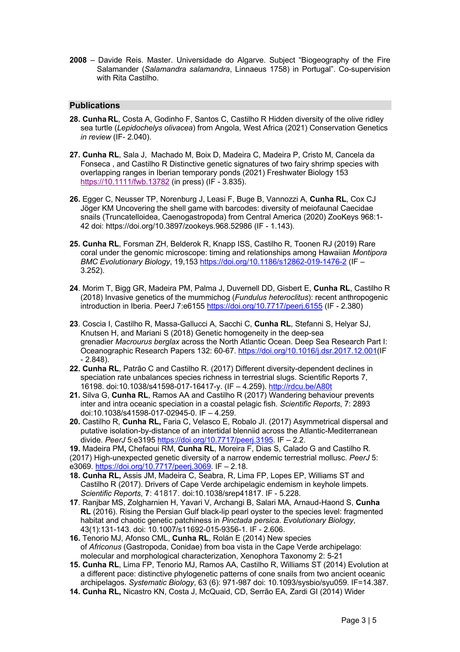**2008** – Davide Reis. Master. Universidade do Algarve. Subject "Biogeography of the Fire Salamander (*Salamandra salamandra*, Linnaeus 1758) in Portugal". Co-supervision with Rita Castilho.

## **Publications**

- **28. Cunha RL**, Costa A, Godinho F, Santos C, Castilho R Hidden diversity of the olive ridley sea turtle (*Lepidochelys olivacea*) from Angola, West Africa (2021) Conservation Genetics *in review* (IF- 2.040).
- **27. Cunha RL**, Sala J, Machado M, Boix D, Madeira C, Madeira P, Cristo M, Cancela da Fonseca , and Castilho R Distinctive genetic signatures of two fairy shrimp species with overlapping ranges in Iberian temporary ponds (2021) Freshwater Biology 153 https://10.1111/fwb.13782 (in press) (IF - 3.835).
- **26.** Egger C, Neusser TP, Norenburg J, Leasi F, Buge B, Vannozzi A, **Cunha RL**, Cox CJ Jöger KM Uncovering the shell game with barcodes: diversity of meiofaunal Caecidae snails (Truncatelloidea, Caenogastropoda) from Central America (2020) ZooKeys 968:1- 42 doi: https://doi.org/10.3897/zookeys.968.52986 (IF - 1.143).
- **25. Cunha RL**, Forsman ZH, Belderok R, Knapp ISS, Castilho R, Toonen RJ (2019) Rare coral under the genomic microscope: timing and relationships among Hawaiian *Montipora BMC Evolutionary Biology*, 19,153 https://doi.org/10.1186/s12862-019-1476-2 (IF – 3.252).
- **24**. Morim T, Bigg GR, Madeira PM, Palma J, Duvernell DD, Gisbert E, **Cunha RL**, Castilho R (2018) Invasive genetics of the mummichog (*Fundulus heteroclitus*): recent anthropogenic introduction in Iberia. PeerJ 7:e6155 https://doi.org/10.7717/peerj.6155 (IF - 2.380)
- **23**. Coscia I, Castilho R, Massa-Gallucci A, Sacchi C, **Cunha RL**, Stefanni S, Helyar SJ, Knutsen H, and Mariani S (2018) Genetic homogeneity in the deep-sea grenadier *Macrourus berglax* across the North Atlantic Ocean. Deep Sea Research Part I: Oceanographic Research Papers 132: 60-67. https://doi.org/10.1016/j.dsr.2017.12.001(IF - 2.848).
- **22. Cunha RL**, Patrão C and Castilho R. (2017) Different diversity-dependent declines in speciation rate unbalances species richness in terrestrial slugs. Scientific Reports 7, 16198. doi:10.1038/s41598-017-16417-y. (IF – 4.259). http://rdcu.be/A80t
- **21.** Silva G, **Cunha RL**, Ramos AA and Castilho R (2017) Wandering behaviour prevents inter and intra oceanic speciation in a coastal pelagic fish. *Scientific Reports*, 7: 2893 doi:10.1038/s41598-017-02945-0. IF – 4.259.
- **20.** Castilho R, **Cunha RL,** Faria C, Velasco E, Robalo JI. (2017) Asymmetrical dispersal and putative isolation-by-distance of an intertidal blenniid across the Atlantic-Mediterranean divide. *PeerJ* 5:e3195 https://doi.org/10.7717/peerj.3195. IF – 2.2.

**19.** Madeira PM**,** Chefaoui RM, **Cunha RL**, Moreira F, Dias S, Calado G and Castilho R.

(2017) High-unexpected genetic diversity of a narrow endemic terrestrial mollusc. *PeerJ* 5: e3069. https://doi.org/10.7717/peerj.3069. IF – 2.18.

- **18. Cunha RL,** Assis JM, Madeira C, Seabra, R, Lima FP, Lopes EP, Williams ST and Castilho R (2017). Drivers of Cape Verde archipelagic endemism in keyhole limpets. *Scientific Reports*, **7**: 41817. doi:10.1038/srep41817. IF - 5.228.
- **17**. Ranjbar MS, Zolgharnien H, Yavari V, Archangi B, Salari MA, Arnaud-Haond S, **Cunha RL** (2016). Rising the Persian Gulf black-lip pearl oyster to the species level: fragmented habitat and chaotic genetic patchiness in *Pinctada persica*. *Evolutionary Biology*, 43(1):131-143. doi: 10.1007/s11692-015-9356-1. IF - 2.606.
- **16.** Tenorio MJ, Afonso CML, **Cunha RL**, Rolán E (2014) New species of *Africonus* (Gastropoda, Conidae) from boa vista in the Cape Verde archipelago: molecular and morphological characterization, Xenophora Taxonomy 2: 5-21
- **15. Cunha RL**, Lima FP, Tenorio MJ, Ramos AA, Castilho R, Williams ST (2014) Evolution at a different pace: distinctive phylogenetic patterns of cone snails from two ancient oceanic archipelagos. *Systematic Biology*, 63 (6): 971-987 doi: 10.1093/sysbio/syu059. IF=14.387.
- **14. Cunha RL,** Nicastro KN, Costa J, McQuaid, CD, Serrão EA, Zardi GI (2014) Wider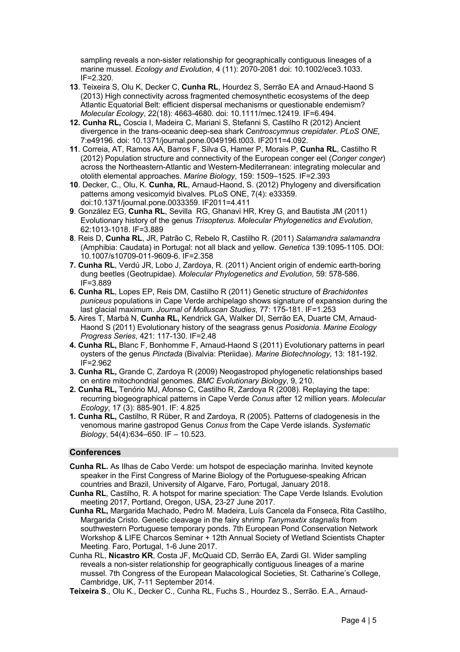sampling reveals a non-sister relationship for geographically contiguous lineages of a marine mussel. *Ecology and Evolution*, 4 (11): 2070-2081 doi: 10.1002/ece3.1033. IF=2.320.

- **13**. Teixeira S, Olu K, Decker C, **Cunha RL**, Hourdez S, Serrão EA and Arnaud-Haond S (2013) High connectivity across fragmented chemosynthetic ecosystems of the deep Atlantic Equatorial Belt: efficient dispersal mechanisms or questionable endemism? *Molecular Ecology*, 22(18): 4663-4680. doi: 10.1111/mec.12419. IF=6.494.
- **12. Cunha RL,** Coscia I, Madeira C, Mariani S, Stefanni S, Castilho R (2012) Ancient divergence in the trans-oceanic deep-sea shark *Centroscymnus crepidater*. *PLoS ONE,* 7:e49196. doi: 10.1371/journal.pone.0049196.t003. IF2011=4.092.
- **11**. Correia, AT, Ramos AA, Barros F, Silva G, Hamer P, Morais P, **Cunha RL**, Castilho R (2012) Population structure and connectivity of the European conger eel (*Conger conger*) across the Northeastern-Atlantic and Western-Mediterranean: integrating molecular and otolith elemental approaches. *Marine Biology*, 159: 1509–1525. IF=2.393
- **10**. Decker, C., Olu, K. **Cunha, RL**, Arnaud-Haond, S. (2012) Phylogeny and diversification patterns among vesicomyid bivalves. PLoS ONE, 7(4): e33359. doi:10.1371/journal.pone.0033359. IF2011=4.411
- **9**. González EG, **Cunha RL**, Sevilla RG, Ghanavi HR, Krey G, and Bautista JM (2011) Evolutionary history of the genus *Trisopterus*. *Molecular Phylogenetics and Evolution*, 62:1013-1018. IF=3.889
- **8**. Reis D, **Cunha RL**, JR, Patrão C, Rebelo R, Castilho R. (2011) *Salamandra salamandra* (Amphibia: Caudata) in Portugal: not all black and yellow. *Genetica* 139:1095-1105. DOI: 10.1007/s10709-011-9609-6. IF=2.358
- **7. Cunha RL**, Verdú JR, Lobo J, Zardoya, R. (2011) Ancient origin of endemic earth-boring dung beetles (Geotrupidae). *Molecular Phylogenetics and Evolution*, 59: 578-586. IF=3.889
- **6. Cunha RL**, Lopes EP, Reis DM, Castilho R (2011) Genetic structure of *Brachidontes puniceus* populations in Cape Verde archipelago shows signature of expansion during the last glacial maximum. *Journal of Molluscan Studies*, 77: 175-181. IF=1.253
- **5.** Aires T, Marbà N, **Cunha RL,** Kendrick GA, Walker DI, Serrão EA, Duarte CM, Arnaud-Haond S (2011) Evolutionary history of the seagrass genus *Posidonia*. *Marine Ecology Progress Series*, 421: 117-130. IF=2.48
- **4. Cunha RL,** Blanc F, Bonhomme F, Arnaud-Haond S (2011) Evolutionary patterns in pearl oysters of the genus *Pinctada* (Bivalvia: Pteriidae). *Marine Biotechnology*, 13: 181-192. IF=2.962
- **3. Cunha RL,** Grande C, Zardoya R (2009) Neogastropod phylogenetic relationships based on entire mitochondrial genomes. *BMC Evolutionary Biology*, 9, 210.
- **2. Cunha RL,** Tenório MJ, Afonso C, Castilho R, Zardoya R (2008). Replaying the tape: recurring biogeographical patterns in Cape Verde *Conus* after 12 million years. *Molecular Ecology*, 17 (3): 885-901. IF: 4.825
- **1. Cunha RL,** Castilho, R Rüber, R and Zardoya, R (2005). Patterns of cladogenesis in the venomous marine gastropod Genus *Conus* from the Cape Verde islands. *Systematic Biology*, 54(4):634–650. IF – 10.523.

## **Conferences**

- **Cunha RL.** As Ilhas de Cabo Verde: um hotspot de especiação marinha. Invited keynote speaker in the First Congress of Marine Biology of the Portuguese-speaking African countries and Brazil, University of Algarve, Faro, Portugal, January 2018.
- **Cunha RL**, Castilho, R. A hotspot for marine speciation: The Cape Verde Islands. Evolution meeting 2017, Portland, Oregon, USA, 23-27 June 2017.
- **Cunha RL,** Margarida Machado, Pedro M. Madeira, Luís Cancela da Fonseca, Rita Castilho, Margarida Cristo. Genetic cleavage in the fairy shrimp *Tanymaxtix stagnalis* from southwestern Portuguese temporary ponds. 7th European Pond Conservation Network Workshop & LIFE Charcos Seminar + 12th Annual Society of Wetland Scientists Chapter Meeting. Faro, Portugal, 1-6 June 2017.
- Cunha RL, **Nicastro KR**, Costa JF, McQuaid CD, Serrão EA, Zardi GI. Wider sampling reveals a non-sister relationship for geographically contiguous lineages of a marine mussel. 7th Congress of the European Malacological Societies, St. Catharine's College, Cambridge, UK, 7-11 September 2014.
- **Teixeira S**., Olu K., Decker C., Cunha RL, Fuchs S., Hourdez S., Serrão. E.A., Arnaud-